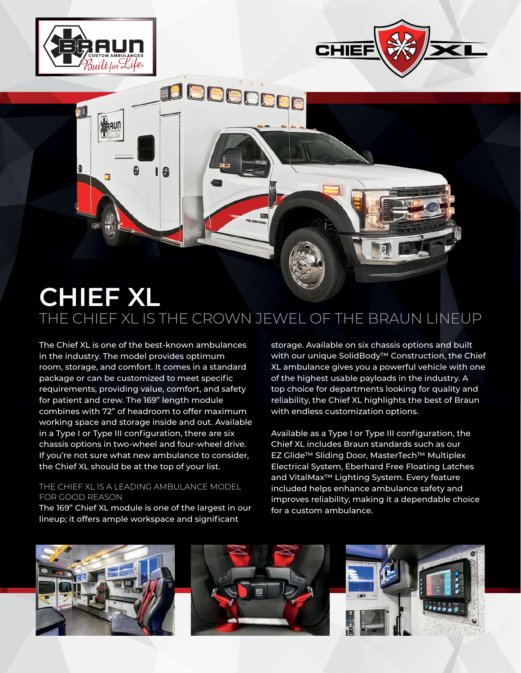

AAUN

÷

6

19



# **CHIEF XL** THE CHIEF XL IS THE CROWN JEWEL OF THE BRAUN LINEUP

The Chief XL is one of the best-known ambulances in the industry. The model provides optimum room, storage, and comfort. It comes in a standard package or can be customized to meet specific requirements, providing value, comfort, and safety for patient and crew. The 169" length module combines with 72" of headroom to offer maximum working space and storage inside and out. Available in a Type I or Type III configuration, there are six chassis options in two-wheel and four-wheel drive. If you're not sure what new ambulance to consider, the Chief XL should be at the top of your list.

#### THE CHIEF XL IS A LEADING AMBULANCE MODEL FOR GOOD REASON

The 169" Chief XL module is one of the largest in our lineup; it offers ample workspace and significant

storage. Available on six chassis options and built with our unique SolidBody™ Construction, the Chief XL ambulance gives you a powerful vehicle with one of the highest usable payloads in the industry. A top choice for departments looking for quality and reliability, the Chief XL highlights the best of Braun with endless customization options.

Available as a Type I or Type III configuration, the Chief XL includes Braun standards such as our EZ Glide™ Sliding Door, MasterTech™ Multiplex Electrical System, Eberhard Free Floating Latches and VitalMax™ Lighting System. Every feature included helps enhance ambulance safety and improves reliability, making it a dependable choice for a custom ambulance.